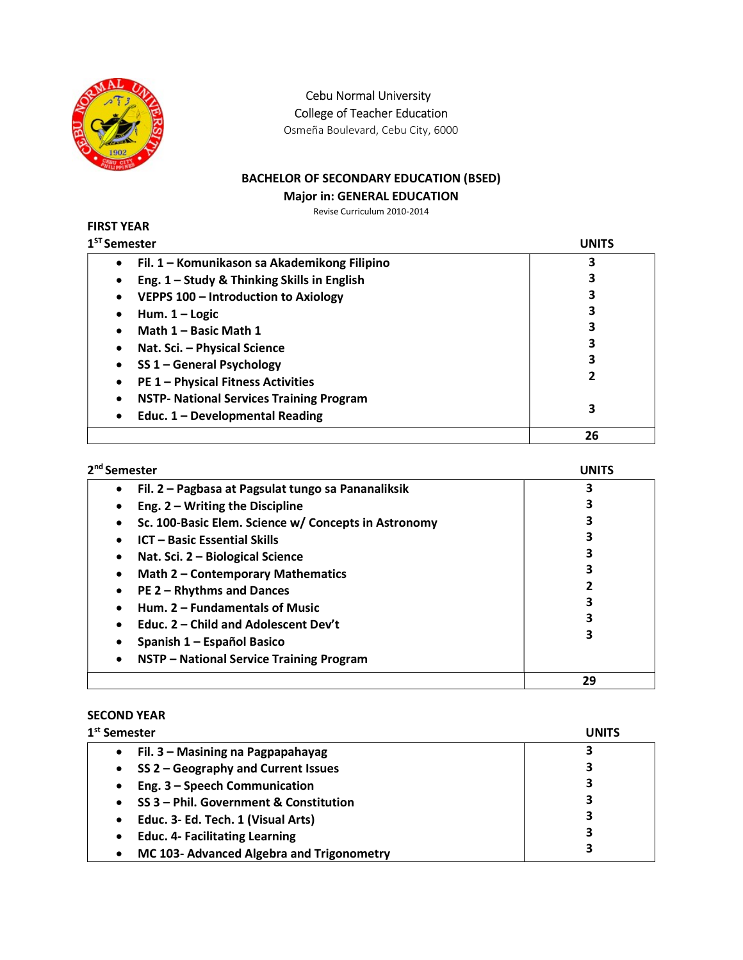

Cebu Normal University

College of Teacher Education

Osmeña Boulevard, Cebu City, 6000

## BACHELOR OF SECONDARY EDUCATION (BSED)

#### Major in: GENERAL EDUCATION

Revise Curriculum 2010-2014

#### FIRST YEAR  $1<sup>ST</sup> S$

| <sup>st</sup> Semester                               | UNITS |
|------------------------------------------------------|-------|
| Fil. 1 - Komunikason sa Akademikong Filipino         | 3     |
| Eng. 1 - Study & Thinking Skills in English          |       |
| VEPPS 100 - Introduction to Axiology                 | 3     |
| Hum. $1 -$ Logic                                     | 3     |
| Math 1 - Basic Math 1                                | 3     |
| Nat. Sci. - Physical Science                         | 3     |
| SS 1 - General Psychology                            | 3     |
| <b>PE 1 - Physical Fitness Activities</b>            |       |
| <b>NSTP- National Services Training Program</b><br>٠ |       |
| Educ. 1 - Developmental Reading<br>$\bullet$         | 3     |
|                                                      | 26    |

| 2 <sup>nd</sup> Semester                              | <b>UNITS</b> |
|-------------------------------------------------------|--------------|
| Fil. 2 – Pagbasa at Pagsulat tungo sa Pananaliksik    | 3            |
| Eng. $2 - W$ riting the Discipline<br>٠               |              |
| Sc. 100-Basic Elem. Science w/ Concepts in Astronomy  |              |
| <b>ICT - Basic Essential Skills</b>                   |              |
| Nat. Sci. 2 - Biological Science<br>٠                 |              |
| Math 2 - Contemporary Mathematics<br>٠                |              |
| PE 2 - Rhythms and Dances<br>$\bullet$                |              |
| Hum. 2 - Fundamentals of Music                        |              |
| Educ. 2 – Child and Adolescent Dev't                  |              |
| Spanish 1 – Español Basico                            |              |
| NSTP - National Service Training Program<br>$\bullet$ |              |
|                                                       | 29           |

# SECOND YEAR

| 1 <sup>st</sup> Semester                            | UNITS |
|-----------------------------------------------------|-------|
| Fil. 3 – Masining na Pagpapahayag<br>$\bullet$      | 3     |
| SS 2 - Geography and Current Issues<br>$\bullet$    | 3     |
| Eng. 3 - Speech Communication<br>$\bullet$          | 3     |
| SS 3 - Phil. Government & Constitution<br>$\bullet$ | 3     |
| Educ. 3- Ed. Tech. 1 (Visual Arts)<br>$\bullet$     | 3     |
| <b>Educ. 4- Facilitating Learning</b><br>$\bullet$  | 3     |
| MC 103- Advanced Algebra and Trigonometry           |       |
|                                                     |       |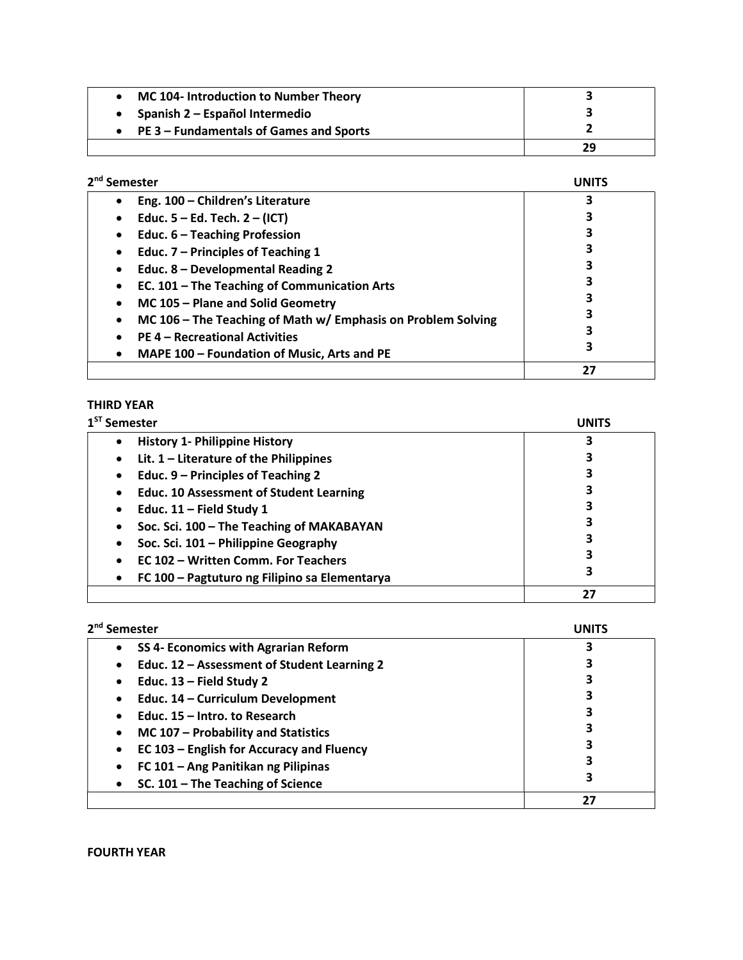| MC 104- Introduction to Number Theory   |    |
|-----------------------------------------|----|
| Spanish 2 – Español Intermedio          |    |
| PE 3 – Fundamentals of Games and Sports |    |
|                                         | 29 |

| 2 <sup>nd</sup> Semester                                          | UNIT |
|-------------------------------------------------------------------|------|
| Eng. 100 - Children's Literature                                  |      |
| Educ. $5 - Ed$ . Tech. $2 - (ICT)$<br>$\bullet$                   |      |
| Educ. 6 - Teaching Profession<br>$\bullet$                        |      |
| Educ. 7 - Principles of Teaching 1<br>$\bullet$                   |      |
| Educ. 8 - Developmental Reading 2<br>$\bullet$                    |      |
| EC. 101 - The Teaching of Communication Arts<br>٠                 |      |
| MC 105 - Plane and Solid Geometry<br>$\bullet$                    |      |
| MC 106 - The Teaching of Math w/ Emphasis on Problem Solving<br>٠ |      |
| <b>PE 4 - Recreational Activities</b>                             |      |
| MAPE 100 - Foundation of Music, Arts and PE<br>٠                  |      |
|                                                                   | 27   |

# THIRD YEAR

| $1ST$ Semester                                              | <b>UNITS</b> |
|-------------------------------------------------------------|--------------|
| <b>History 1- Philippine History</b><br>$\bullet$           | 3            |
| Lit. $1$ – Literature of the Philippines<br>$\bullet$       |              |
| Educ. 9 – Principles of Teaching 2<br>٠                     |              |
| <b>Educ. 10 Assessment of Student Learning</b><br>$\bullet$ |              |
| Educ. $11$ – Field Study 1<br>٠                             |              |
| Soc. Sci. 100 - The Teaching of MAKABAYAN<br>٠              |              |
| Soc. Sci. 101 - Philippine Geography<br>٠                   |              |
| EC 102 - Written Comm. For Teachers                         |              |
| FC 100 - Pagtuturo ng Filipino sa Elementarya               | 3            |
|                                                             | 27           |

| 2 <sup>nd</sup> Semester                                 |    |
|----------------------------------------------------------|----|
| SS 4- Economics with Agrarian Reform<br>$\bullet$        |    |
| Educ. 12 - Assessment of Student Learning 2<br>$\bullet$ |    |
| Educ. 13 - Field Study 2<br>٠                            |    |
| Educ. 14 - Curriculum Development<br>٠                   |    |
| Educ. 15 - Intro. to Research<br>$\bullet$               |    |
| MC 107 - Probability and Statistics<br>$\bullet$         | 3  |
| EC 103 - English for Accuracy and Fluency<br>$\bullet$   |    |
| FC 101 - Ang Panitikan ng Pilipinas<br>٠                 |    |
| SC. 101 - The Teaching of Science<br>٠                   | 3  |
|                                                          | 27 |

FOURTH YEAR